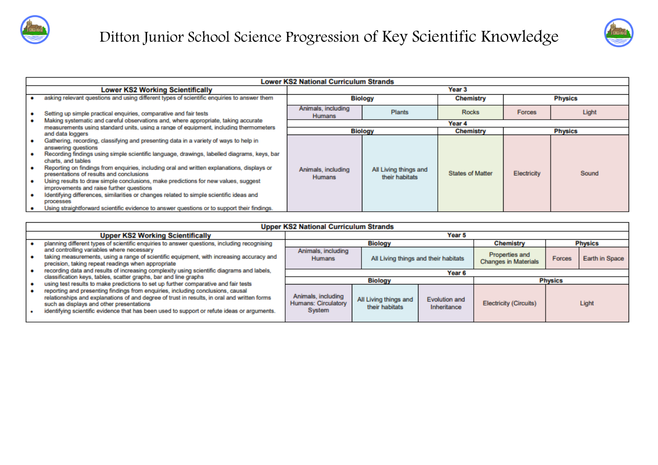



|                                                                   | <b>Lower KS2 National Curriculum Strands</b>                                                                                                                                                                                                                                                                                                                                                                                                                                                                                                                                                                                                                                                                         |                                     |                                         |                         |                |                |
|-------------------------------------------------------------------|----------------------------------------------------------------------------------------------------------------------------------------------------------------------------------------------------------------------------------------------------------------------------------------------------------------------------------------------------------------------------------------------------------------------------------------------------------------------------------------------------------------------------------------------------------------------------------------------------------------------------------------------------------------------------------------------------------------------|-------------------------------------|-----------------------------------------|-------------------------|----------------|----------------|
|                                                                   | <b>Lower KS2 Working Scientifically</b>                                                                                                                                                                                                                                                                                                                                                                                                                                                                                                                                                                                                                                                                              | Year <sub>3</sub>                   |                                         |                         |                |                |
|                                                                   | asking relevant questions and using different types of scientific enquiries to answer them                                                                                                                                                                                                                                                                                                                                                                                                                                                                                                                                                                                                                           |                                     | <b>Biology</b>                          | <b>Chemistry</b>        |                | <b>Physics</b> |
| Setting up simple practical enquiries, comparative and fair tests |                                                                                                                                                                                                                                                                                                                                                                                                                                                                                                                                                                                                                                                                                                                      | Animals, including<br><b>Humans</b> | <b>Plants</b>                           | <b>Rocks</b>            | <b>Forces</b>  | Light          |
|                                                                   | Making systematic and careful observations and, where appropriate, taking accurate<br>measurements using standard units, using a range of equipment, including thermometers                                                                                                                                                                                                                                                                                                                                                                                                                                                                                                                                          |                                     |                                         | Year 4                  |                |                |
|                                                                   | and data loggers                                                                                                                                                                                                                                                                                                                                                                                                                                                                                                                                                                                                                                                                                                     | <b>Biology</b>                      |                                         | <b>Chemistry</b>        | <b>Physics</b> |                |
|                                                                   | Gathering, recording, classifying and presenting data in a variety of ways to help in<br>answering questions<br>Recording findings using simple scientific language, drawings, labelled diagrams, keys, bar<br>charts, and tables<br>Reporting on findings from enquiries, including oral and written explanations, displays or<br>presentations of results and conclusions<br>Using results to draw simple conclusions, make predictions for new values, suggest<br>improvements and raise further questions<br>Identifying differences, similarities or changes related to simple scientific ideas and<br>processes<br>Using straightforward scientific evidence to answer questions or to support their findings. | Animals, including<br><b>Humans</b> | All Living things and<br>their habitats | <b>States of Matter</b> | Electricity    | Sound          |

| <b>Upper KS2 National Curriculum Strands</b>                                                                                                                                                                                                                                                                                                                                                                     |                                                            |                                         |                                      |                                               |                |                |  |
|------------------------------------------------------------------------------------------------------------------------------------------------------------------------------------------------------------------------------------------------------------------------------------------------------------------------------------------------------------------------------------------------------------------|------------------------------------------------------------|-----------------------------------------|--------------------------------------|-----------------------------------------------|----------------|----------------|--|
| <b>Upper KS2 Working Scientifically</b>                                                                                                                                                                                                                                                                                                                                                                          | Year <sub>5</sub>                                          |                                         |                                      |                                               |                |                |  |
| planning different types of scientific enquiries to answer questions, including recognising                                                                                                                                                                                                                                                                                                                      | <b>Biology</b>                                             |                                         |                                      | <b>Chemistry</b>                              | <b>Physics</b> |                |  |
| and controlling variables where necessary<br>taking measurements, using a range of scientific equipment, with increasing accuracy and<br>precision, taking repeat readings when appropriate                                                                                                                                                                                                                      | Animals, including<br><b>Humans</b>                        |                                         | All Living things and their habitats | Properties and<br><b>Changes in Materials</b> | Forces         | Earth in Space |  |
| recording data and results of increasing complexity using scientific diagrams and labels,                                                                                                                                                                                                                                                                                                                        | Year <sub>6</sub>                                          |                                         |                                      |                                               |                |                |  |
| classification keys, tables, scatter graphs, bar and line graphs                                                                                                                                                                                                                                                                                                                                                 | <b>Biology</b>                                             |                                         |                                      | <b>Physics</b>                                |                |                |  |
| using test results to make predictions to set up further comparative and fair tests<br>reporting and presenting findings from enquiries, including conclusions, causal<br>relationships and explanations of and degree of trust in results, in oral and written forms<br>such as displays and other presentations<br>identifying scientific evidence that has been used to support or refute ideas or arguments. | Animals, including<br><b>Humans: Circulatory</b><br>System | All Living things and<br>their habitats | Evolution and<br>Inheritance         | <b>Electricity (Circuits)</b>                 |                | Light          |  |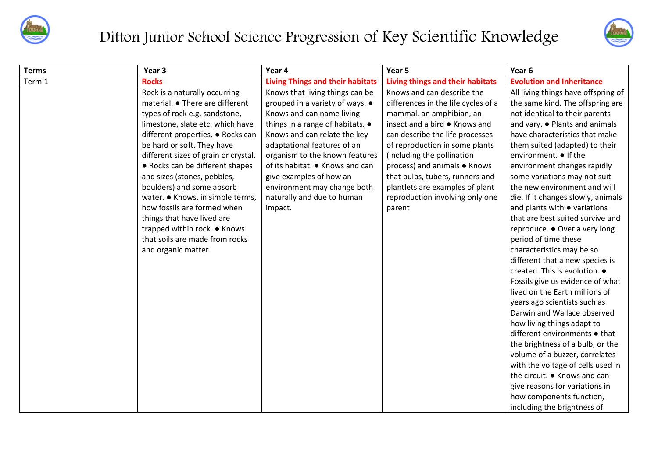

## Ditton Junior School Science Progression of Key Scientific Knowledge



| <b>Terms</b> | Year 3                               | Year 4                                  | Year 5                              | Year 6                              |
|--------------|--------------------------------------|-----------------------------------------|-------------------------------------|-------------------------------------|
| Term 1       | <b>Rocks</b>                         | <b>Living Things and their habitats</b> | Living things and their habitats    | <b>Evolution and Inheritance</b>    |
|              | Rock is a naturally occurring        | Knows that living things can be         | Knows and can describe the          | All living things have offspring of |
|              | material. • There are different      | grouped in a variety of ways. $\bullet$ | differences in the life cycles of a | the same kind. The offspring are    |
|              | types of rock e.g. sandstone,        | Knows and can name living               | mammal, an amphibian, an            | not identical to their parents      |
|              | limestone, slate etc. which have     | things in a range of habitats. •        | insect and a bird ● Knows and       | and vary. • Plants and animals      |
|              | different properties. • Rocks can    | Knows and can relate the key            | can describe the life processes     | have characteristics that make      |
|              | be hard or soft. They have           | adaptational features of an             | of reproduction in some plants      | them suited (adapted) to their      |
|              | different sizes of grain or crystal. | organism to the known features          | (including the pollination          | environment. ● If the               |
|              | • Rocks can be different shapes      | of its habitat. • Knows and can         | process) and animals • Knows        | environment changes rapidly         |
|              | and sizes (stones, pebbles,          | give examples of how an                 | that bulbs, tubers, runners and     | some variations may not suit        |
|              | boulders) and some absorb            | environment may change both             | plantlets are examples of plant     | the new environment and will        |
|              | water. • Knows, in simple terms,     | naturally and due to human              | reproduction involving only one     | die. If it changes slowly, animals  |
|              | how fossils are formed when          | impact.                                 | parent                              | and plants with • variations        |
|              | things that have lived are           |                                         |                                     | that are best suited survive and    |
|              | trapped within rock. ● Knows         |                                         |                                     | reproduce. ● Over a very long       |
|              | that soils are made from rocks       |                                         |                                     | period of time these                |
|              | and organic matter.                  |                                         |                                     | characteristics may be so           |
|              |                                      |                                         |                                     | different that a new species is     |
|              |                                      |                                         |                                     | created. This is evolution. .       |
|              |                                      |                                         |                                     | Fossils give us evidence of what    |
|              |                                      |                                         |                                     | lived on the Earth millions of      |
|              |                                      |                                         |                                     | years ago scientists such as        |
|              |                                      |                                         |                                     | Darwin and Wallace observed         |
|              |                                      |                                         |                                     | how living things adapt to          |
|              |                                      |                                         |                                     | different environments • that       |
|              |                                      |                                         |                                     | the brightness of a bulb, or the    |
|              |                                      |                                         |                                     | volume of a buzzer, correlates      |
|              |                                      |                                         |                                     | with the voltage of cells used in   |
|              |                                      |                                         |                                     | the circuit. • Knows and can        |
|              |                                      |                                         |                                     | give reasons for variations in      |
|              |                                      |                                         |                                     | how components function,            |
|              |                                      |                                         |                                     | including the brightness of         |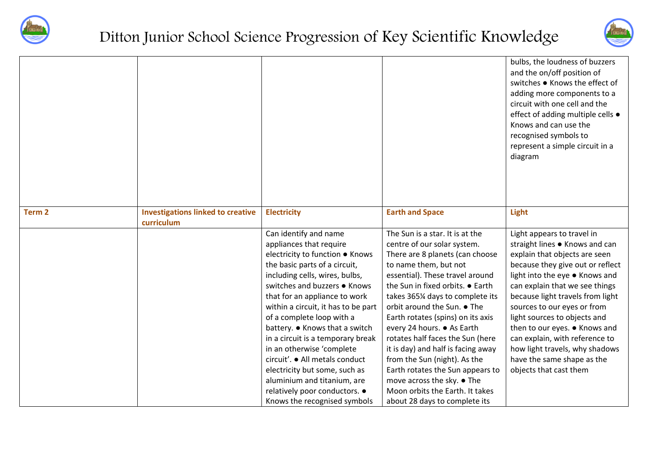



|        |                                                        |                                                                                                                                                                                                                                                                                                                                                                                                                                                                                                                                                                    |                                                                                                                                                                                                                                                                                                                                                                                                                                                                                                                                                                                        | bulbs, the loudness of buzzers<br>and the on/off position of<br>switches . Knows the effect of<br>adding more components to a<br>circuit with one cell and the<br>effect of adding multiple cells .<br>Knows and can use the<br>recognised symbols to<br>represent a simple circuit in a<br>diagram                                                                                                                                                                   |
|--------|--------------------------------------------------------|--------------------------------------------------------------------------------------------------------------------------------------------------------------------------------------------------------------------------------------------------------------------------------------------------------------------------------------------------------------------------------------------------------------------------------------------------------------------------------------------------------------------------------------------------------------------|----------------------------------------------------------------------------------------------------------------------------------------------------------------------------------------------------------------------------------------------------------------------------------------------------------------------------------------------------------------------------------------------------------------------------------------------------------------------------------------------------------------------------------------------------------------------------------------|-----------------------------------------------------------------------------------------------------------------------------------------------------------------------------------------------------------------------------------------------------------------------------------------------------------------------------------------------------------------------------------------------------------------------------------------------------------------------|
| Term 2 | <b>Investigations linked to creative</b><br>curriculum | <b>Electricity</b>                                                                                                                                                                                                                                                                                                                                                                                                                                                                                                                                                 | <b>Earth and Space</b>                                                                                                                                                                                                                                                                                                                                                                                                                                                                                                                                                                 | Light                                                                                                                                                                                                                                                                                                                                                                                                                                                                 |
|        |                                                        | Can identify and name<br>appliances that require<br>electricity to function ● Knows<br>the basic parts of a circuit,<br>including cells, wires, bulbs,<br>switches and buzzers ● Knows<br>that for an appliance to work<br>within a circuit, it has to be part<br>of a complete loop with a<br>battery. • Knows that a switch<br>in a circuit is a temporary break<br>in an otherwise 'complete<br>circuit'. ● All metals conduct<br>electricity but some, such as<br>aluminium and titanium, are<br>relatively poor conductors. •<br>Knows the recognised symbols | The Sun is a star. It is at the<br>centre of our solar system.<br>There are 8 planets (can choose<br>to name them, but not<br>essential). These travel around<br>the Sun in fixed orbits. • Earth<br>takes 365% days to complete its<br>orbit around the Sun. • The<br>Earth rotates (spins) on its axis<br>every 24 hours. ● As Earth<br>rotates half faces the Sun (here<br>it is day) and half is facing away<br>from the Sun (night). As the<br>Earth rotates the Sun appears to<br>move across the sky. ● The<br>Moon orbits the Earth. It takes<br>about 28 days to complete its | Light appears to travel in<br>straight lines . Knows and can<br>explain that objects are seen<br>because they give out or reflect<br>light into the eye ● Knows and<br>can explain that we see things<br>because light travels from light<br>sources to our eyes or from<br>light sources to objects and<br>then to our eyes. • Knows and<br>can explain, with reference to<br>how light travels, why shadows<br>have the same shape as the<br>objects that cast them |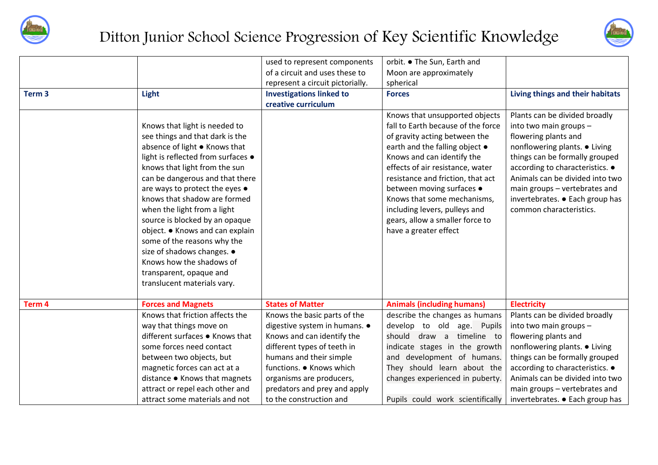



|                   |                                                                                                                                                                                                                                                                               | used to represent components     | orbit. ● The Sun, Earth and                                                                                                                                                                                                                                                 |                                                                                                                                                                                                                                                           |
|-------------------|-------------------------------------------------------------------------------------------------------------------------------------------------------------------------------------------------------------------------------------------------------------------------------|----------------------------------|-----------------------------------------------------------------------------------------------------------------------------------------------------------------------------------------------------------------------------------------------------------------------------|-----------------------------------------------------------------------------------------------------------------------------------------------------------------------------------------------------------------------------------------------------------|
|                   |                                                                                                                                                                                                                                                                               | of a circuit and uses these to   | Moon are approximately                                                                                                                                                                                                                                                      |                                                                                                                                                                                                                                                           |
|                   |                                                                                                                                                                                                                                                                               | represent a circuit pictorially. | spherical                                                                                                                                                                                                                                                                   |                                                                                                                                                                                                                                                           |
| Term <sub>3</sub> | Light                                                                                                                                                                                                                                                                         | <b>Investigations linked to</b>  | <b>Forces</b>                                                                                                                                                                                                                                                               | Living things and their habitats                                                                                                                                                                                                                          |
|                   |                                                                                                                                                                                                                                                                               | creative curriculum              |                                                                                                                                                                                                                                                                             |                                                                                                                                                                                                                                                           |
|                   | Knows that light is needed to<br>see things and that dark is the<br>absence of light ● Knows that<br>light is reflected from surfaces •<br>knows that light from the sun<br>can be dangerous and that there<br>are ways to protect the eyes •<br>knows that shadow are formed |                                  | Knows that unsupported objects<br>fall to Earth because of the force<br>of gravity acting between the<br>earth and the falling object •<br>Knows and can identify the<br>effects of air resistance, water<br>resistance and friction, that act<br>between moving surfaces . | Plants can be divided broadly<br>into two main groups -<br>flowering plants and<br>nonflowering plants. • Living<br>things can be formally grouped<br>according to characteristics. •<br>Animals can be divided into two<br>main groups - vertebrates and |
|                   | when the light from a light<br>source is blocked by an opaque<br>object. • Knows and can explain<br>some of the reasons why the<br>size of shadows changes. •<br>Knows how the shadows of<br>transparent, opaque and<br>translucent materials vary.                           |                                  | Knows that some mechanisms,<br>including levers, pulleys and<br>gears, allow a smaller force to<br>have a greater effect                                                                                                                                                    | invertebrates. • Each group has<br>common characteristics.                                                                                                                                                                                                |
| Term 4            | <b>Forces and Magnets</b>                                                                                                                                                                                                                                                     | <b>States of Matter</b>          | <b>Animals (including humans)</b>                                                                                                                                                                                                                                           | <b>Electricity</b>                                                                                                                                                                                                                                        |
|                   | Knows that friction affects the                                                                                                                                                                                                                                               | Knows the basic parts of the     | describe the changes as humans                                                                                                                                                                                                                                              | Plants can be divided broadly                                                                                                                                                                                                                             |
|                   | way that things move on                                                                                                                                                                                                                                                       | digestive system in humans. .    | develop to old age. Pupils                                                                                                                                                                                                                                                  | into two main groups -                                                                                                                                                                                                                                    |
|                   | different surfaces ● Knows that                                                                                                                                                                                                                                               | Knows and can identify the       | should draw a timeline to                                                                                                                                                                                                                                                   | flowering plants and                                                                                                                                                                                                                                      |
|                   | some forces need contact                                                                                                                                                                                                                                                      | different types of teeth in      | indicate stages in the growth                                                                                                                                                                                                                                               | nonflowering plants. • Living                                                                                                                                                                                                                             |
|                   | between two objects, but                                                                                                                                                                                                                                                      | humans and their simple          | and development of humans.                                                                                                                                                                                                                                                  | things can be formally grouped                                                                                                                                                                                                                            |
|                   | magnetic forces can act at a                                                                                                                                                                                                                                                  | functions. . Knows which         | They should learn about the                                                                                                                                                                                                                                                 | according to characteristics. •                                                                                                                                                                                                                           |
|                   | distance . Knows that magnets                                                                                                                                                                                                                                                 | organisms are producers,         | changes experienced in puberty.                                                                                                                                                                                                                                             | Animals can be divided into two                                                                                                                                                                                                                           |
|                   | attract or repel each other and                                                                                                                                                                                                                                               | predators and prey and apply     |                                                                                                                                                                                                                                                                             | main groups - vertebrates and                                                                                                                                                                                                                             |
|                   | attract some materials and not                                                                                                                                                                                                                                                | to the construction and          | Pupils could work scientifically                                                                                                                                                                                                                                            | invertebrates. • Each group has                                                                                                                                                                                                                           |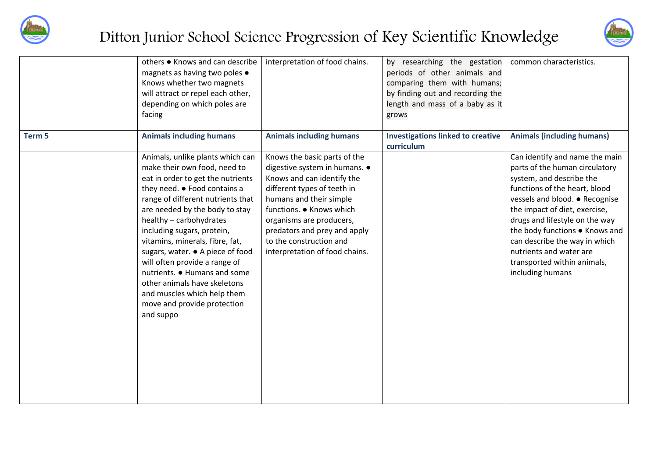



|        | others • Knows and can describe<br>magnets as having two poles .<br>Knows whether two magnets<br>will attract or repel each other,<br>depending on which poles are<br>facing                                                                                                                                                                                                                                                                                                                                             | interpretation of food chains.                                                                                                                                                                                                                                                                             | by researching the gestation<br>periods of other animals and<br>comparing them with humans;<br>by finding out and recording the<br>length and mass of a baby as it<br>grows | common characteristics.                                                                                                                                                                                                                                                                                                                                                             |
|--------|--------------------------------------------------------------------------------------------------------------------------------------------------------------------------------------------------------------------------------------------------------------------------------------------------------------------------------------------------------------------------------------------------------------------------------------------------------------------------------------------------------------------------|------------------------------------------------------------------------------------------------------------------------------------------------------------------------------------------------------------------------------------------------------------------------------------------------------------|-----------------------------------------------------------------------------------------------------------------------------------------------------------------------------|-------------------------------------------------------------------------------------------------------------------------------------------------------------------------------------------------------------------------------------------------------------------------------------------------------------------------------------------------------------------------------------|
| Term 5 | <b>Animals including humans</b>                                                                                                                                                                                                                                                                                                                                                                                                                                                                                          | <b>Animals including humans</b>                                                                                                                                                                                                                                                                            | <b>Investigations linked to creative</b><br>curriculum                                                                                                                      | <b>Animals (including humans)</b>                                                                                                                                                                                                                                                                                                                                                   |
|        | Animals, unlike plants which can<br>make their own food, need to<br>eat in order to get the nutrients<br>they need. • Food contains a<br>range of different nutrients that<br>are needed by the body to stay<br>healthy - carbohydrates<br>including sugars, protein,<br>vitamins, minerals, fibre, fat,<br>sugars, water. ● A piece of food<br>will often provide a range of<br>nutrients. • Humans and some<br>other animals have skeletons<br>and muscles which help them<br>move and provide protection<br>and suppo | Knows the basic parts of the<br>digestive system in humans. •<br>Knows and can identify the<br>different types of teeth in<br>humans and their simple<br>functions. • Knows which<br>organisms are producers,<br>predators and prey and apply<br>to the construction and<br>interpretation of food chains. |                                                                                                                                                                             | Can identify and name the main<br>parts of the human circulatory<br>system, and describe the<br>functions of the heart, blood<br>vessels and blood. • Recognise<br>the impact of diet, exercise,<br>drugs and lifestyle on the way<br>the body functions . Knows and<br>can describe the way in which<br>nutrients and water are<br>transported within animals,<br>including humans |